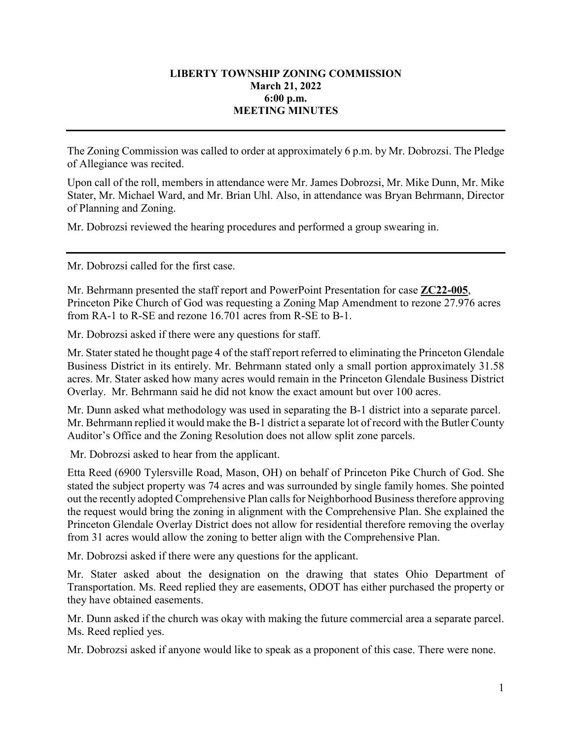## **LIBERTY TOWNSHIP ZONING COMMISSION March 21, 2022 6:00 p.m. MEETING MINUTES**

The Zoning Commission was called to order at approximately 6 p.m. by Mr. Dobrozsi. The Pledge of Allegiance was recited.

Upon call of the roll, members in attendance were Mr. James Dobrozsi, Mr. Mike Dunn, Mr. Mike Stater, Mr. Michael Ward, and Mr. Brian Uhl. Also, in attendance was Bryan Behrmann, Director of Planning and Zoning.

Mr. Dobrozsi reviewed the hearing procedures and performed a group swearing in.

Mr. Dobrozsi called for the first case.

Mr. Behrmann presented the staff report and PowerPoint Presentation for case **ZC22-005**, Princeton Pike Church of God was requesting a Zoning Map Amendment to rezone 27.976 acres from RA-1 to R-SE and rezone 16.701 acres from R-SE to B-1.

Mr. Dobrozsi asked if there were any questions for staff.

Mr. Stater stated he thought page 4 of the staff report referred to eliminating the Princeton Glendale Business District in its entirely. Mr. Behrmann stated only a small portion approximately 31.58 acres. Mr. Stater asked how many acres would remain in the Princeton Glendale Business District Overlay. Mr. Behrmann said he did not know the exact amount but over 100 acres.

Mr. Dunn asked what methodology was used in separating the B-1 district into a separate parcel. Mr. Behrmann replied it would make the B-1 district a separate lot of record with the Butler County Auditor's Office and the Zoning Resolution does not allow split zone parcels.

Mr. Dobrozsi asked to hear from the applicant.

Etta Reed (6900 Tylersville Road, Mason, OH) on behalf of Princeton Pike Church of God. She stated the subject property was 74 acres and was surrounded by single family homes. She pointed out the recently adopted Comprehensive Plan calls for Neighborhood Business therefore approving the request would bring the zoning in alignment with the Comprehensive Plan. She explained the Princeton Glendale Overlay District does not allow for residential therefore removing the overlay from 31 acres would allow the zoning to better align with the Comprehensive Plan.

Mr. Dobrozsi asked if there were any questions for the applicant.

Mr. Stater asked about the designation on the drawing that states Ohio Department of Transportation. Ms. Reed replied they are easements, ODOT has either purchased the property or they have obtained easements.

Mr. Dunn asked if the church was okay with making the future commercial area a separate parcel. Ms. Reed replied yes.

Mr. Dobrozsi asked if anyone would like to speak as a proponent of this case. There were none.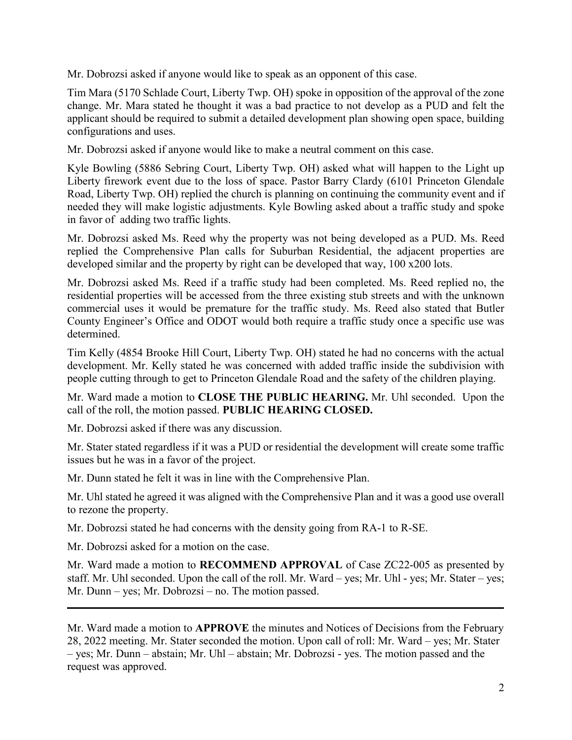Mr. Dobrozsi asked if anyone would like to speak as an opponent of this case.

Tim Mara (5170 Schlade Court, Liberty Twp. OH) spoke in opposition of the approval of the zone change. Mr. Mara stated he thought it was a bad practice to not develop as a PUD and felt the applicant should be required to submit a detailed development plan showing open space, building configurations and uses.

Mr. Dobrozsi asked if anyone would like to make a neutral comment on this case.

Kyle Bowling (5886 Sebring Court, Liberty Twp. OH) asked what will happen to the Light up Liberty firework event due to the loss of space. Pastor Barry Clardy (6101 Princeton Glendale Road, Liberty Twp. OH) replied the church is planning on continuing the community event and if needed they will make logistic adjustments. Kyle Bowling asked about a traffic study and spoke in favor of adding two traffic lights.

Mr. Dobrozsi asked Ms. Reed why the property was not being developed as a PUD. Ms. Reed replied the Comprehensive Plan calls for Suburban Residential, the adjacent properties are developed similar and the property by right can be developed that way, 100 x200 lots.

Mr. Dobrozsi asked Ms. Reed if a traffic study had been completed. Ms. Reed replied no, the residential properties will be accessed from the three existing stub streets and with the unknown commercial uses it would be premature for the traffic study. Ms. Reed also stated that Butler County Engineer's Office and ODOT would both require a traffic study once a specific use was determined.

Tim Kelly (4854 Brooke Hill Court, Liberty Twp. OH) stated he had no concerns with the actual development. Mr. Kelly stated he was concerned with added traffic inside the subdivision with people cutting through to get to Princeton Glendale Road and the safety of the children playing.

Mr. Ward made a motion to **CLOSE THE PUBLIC HEARING.** Mr. Uhl seconded. Upon the call of the roll, the motion passed. **PUBLIC HEARING CLOSED.**

Mr. Dobrozsi asked if there was any discussion.

Mr. Stater stated regardless if it was a PUD or residential the development will create some traffic issues but he was in a favor of the project.

Mr. Dunn stated he felt it was in line with the Comprehensive Plan.

Mr. Uhl stated he agreed it was aligned with the Comprehensive Plan and it was a good use overall to rezone the property.

Mr. Dobrozsi stated he had concerns with the density going from RA-1 to R-SE.

Mr. Dobrozsi asked for a motion on the case.

Mr. Ward made a motion to **RECOMMEND APPROVAL** of Case ZC22-005 as presented by staff. Mr. Uhl seconded. Upon the call of the roll. Mr. Ward – yes; Mr. Uhl - yes; Mr. Stater – yes; Mr. Dunn – yes; Mr. Dobrozsi – no. The motion passed.

Mr. Ward made a motion to **APPROVE** the minutes and Notices of Decisions from the February 28, 2022 meeting. Mr. Stater seconded the motion. Upon call of roll: Mr. Ward – yes; Mr. Stater – yes; Mr. Dunn – abstain; Mr. Uhl – abstain; Mr. Dobrozsi - yes. The motion passed and the request was approved.